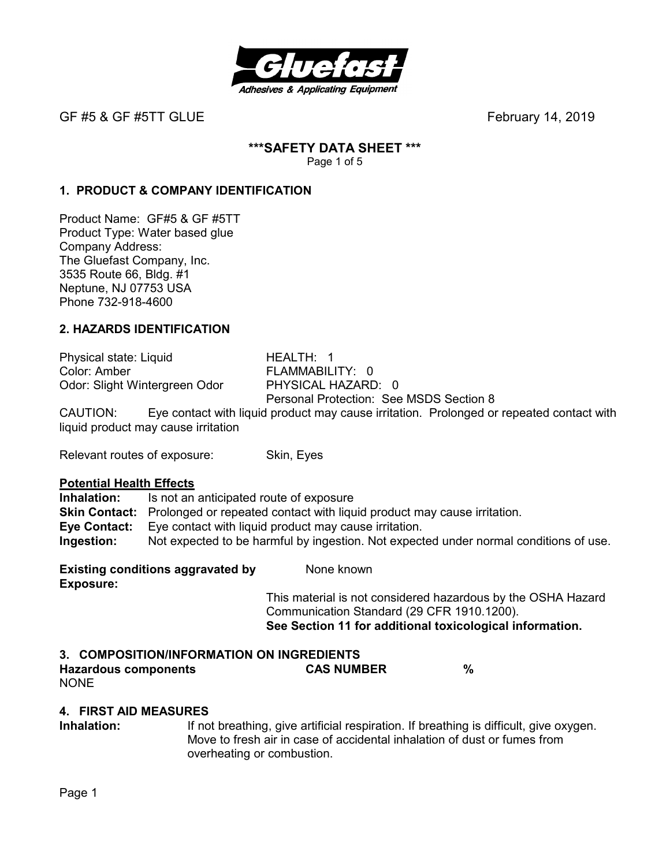

# **\*\*\*SAFETY DATA SHEET \*\*\***

Page 1 of 5

# **1. PRODUCT & COMPANY IDENTIFICATION**

Product Name: GF#5 & GF #5TT Product Type: Water based glue Company Address: The Gluefast Company, Inc. 3535 Route 66, Bldg. #1 Neptune, NJ 07753 USA Phone 732-918-4600

# **2. HAZARDS IDENTIFICATION**

Physical state: Liquid HEALTH: 1 Color: Amber FLAMMABILITY: 0<br>
Odor: Slight Wintergreen Odor PHYSICAL HAZARD: 0 Odor: Slight Wintergreen Odor Personal Protection: See MSDS Section 8 CAUTION: Eye contact with liquid product may cause irritation. Prolonged or repeated contact with

liquid product may cause irritation

Relevant routes of exposure: Skin, Eyes

### **Potential Health Effects**

**Inhalation:** Is not an anticipated route of exposure **Skin Contact:** Prolonged or repeated contact with liquid product may cause irritation. **Eye Contact:** Eye contact with liquid product may cause irritation. **Ingestion:** Not expected to be harmful by ingestion. Not expected under normal conditions of use.

**Existing conditions aggravated by Stationary Representions Exposure:** 

This material is not considered hazardous by the OSHA Hazard Communication Standard (29 CFR 1910.1200). **See Section 11 for additional toxicological information.** 

# **3. COMPOSITION/INFORMATION ON INGREDIENTS**

**Hazardous components CAS NUMBER %**  NONE

# **4. FIRST AID MEASURES**

**Inhalation:** If not breathing, give artificial respiration. If breathing is difficult, give oxygen. Move to fresh air in case of accidental inhalation of dust or fumes from overheating or combustion.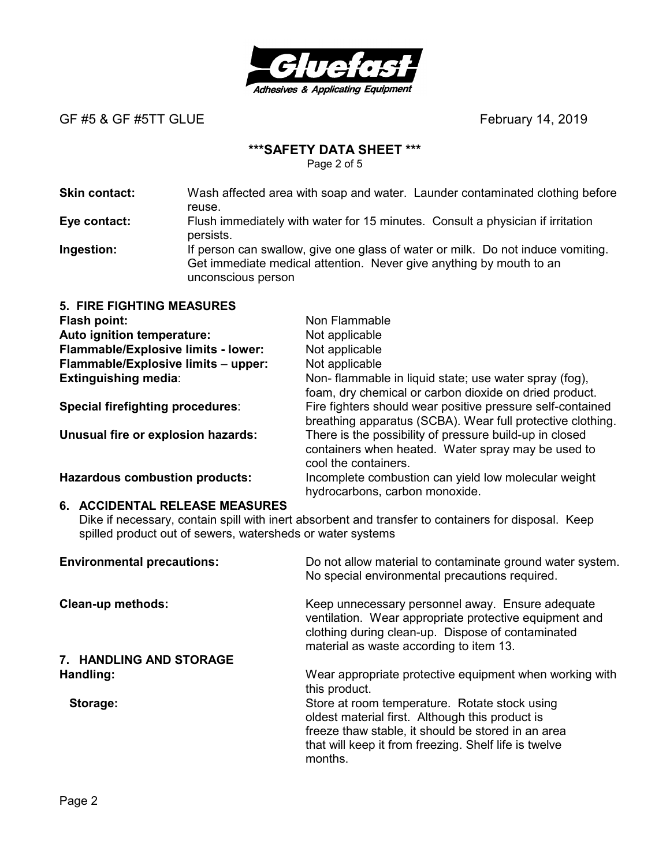

### **\*\*\*SAFETY DATA SHEET \*\*\***

Page 2 of 5

**Skin contact:** Wash affected area with soap and water. Launder contaminated clothing before reuse. **Eye contact:** Flush immediately with water for 15 minutes. Consult a physician if irritation persists. **Ingestion:** If person can swallow, give one glass of water or milk. Do not induce vomiting.

Get immediate medical attention. Never give anything by mouth to an unconscious person

| <b>5. FIRE FIGHTING MEASURES</b>        |                                                                                                                                       |
|-----------------------------------------|---------------------------------------------------------------------------------------------------------------------------------------|
| Flash point:                            | Non Flammable                                                                                                                         |
| Auto ignition temperature:              | Not applicable                                                                                                                        |
| Flammable/Explosive limits - lower:     | Not applicable                                                                                                                        |
| Flammable/Explosive limits - upper:     | Not applicable                                                                                                                        |
| <b>Extinguishing media:</b>             | Non- flammable in liquid state; use water spray (fog),<br>foam, dry chemical or carbon dioxide on dried product.                      |
| <b>Special firefighting procedures:</b> | Fire fighters should wear positive pressure self-contained<br>breathing apparatus (SCBA). Wear full protective clothing.              |
| Unusual fire or explosion hazards:      | There is the possibility of pressure build-up in closed<br>containers when heated. Water spray may be used to<br>cool the containers. |
| <b>Hazardous combustion products:</b>   | Incomplete combustion can yield low molecular weight<br>hydrocarbons, carbon monoxide.                                                |

#### **6. ACCIDENTAL RELEASE MEASURES**

Dike if necessary, contain spill with inert absorbent and transfer to containers for disposal. Keep spilled product out of sewers, watersheds or water systems

| <b>Environmental precautions:</b> | Do not allow material to contaminate ground water system.<br>No special environmental precautions required.                                                                                                                |
|-----------------------------------|----------------------------------------------------------------------------------------------------------------------------------------------------------------------------------------------------------------------------|
| <b>Clean-up methods:</b>          | Keep unnecessary personnel away. Ensure adequate<br>ventilation. Wear appropriate protective equipment and<br>clothing during clean-up. Dispose of contaminated<br>material as waste according to item 13.                 |
| 7. HANDLING AND STORAGE           |                                                                                                                                                                                                                            |
| Handling:                         | Wear appropriate protective equipment when working with<br>this product.                                                                                                                                                   |
| Storage:                          | Store at room temperature. Rotate stock using<br>oldest material first. Although this product is<br>freeze thaw stable, it should be stored in an area<br>that will keep it from freezing. Shelf life is twelve<br>months. |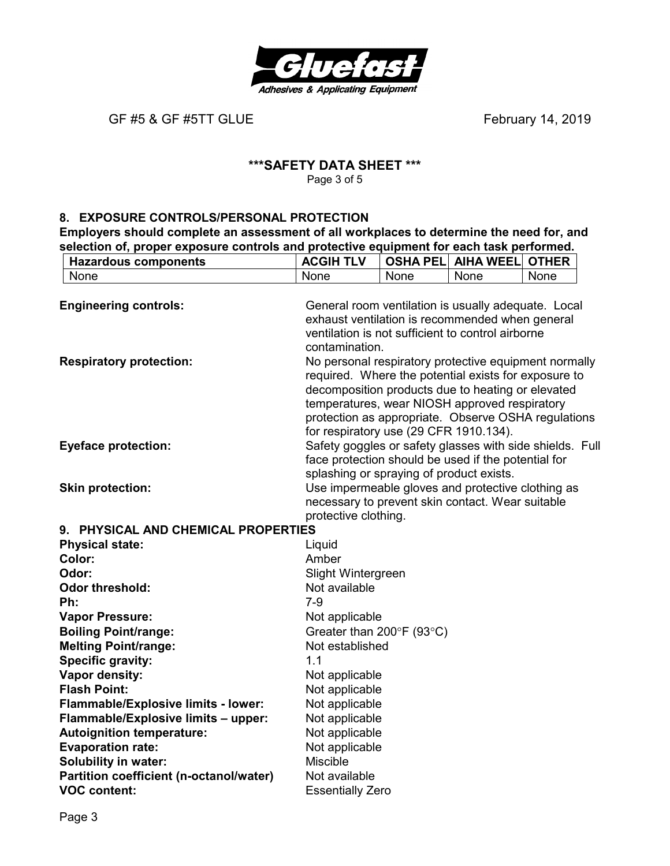

### **\*\*\*SAFETY DATA SHEET \*\*\***  Page 3 of 5

### **8. EXPOSURE CONTROLS/PERSONAL PROTECTION**

**Employers should complete an assessment of all workplaces to determine the need for, and selection of, proper exposure controls and protective equipment for each task performed.** 

| <b>Hazardous components</b>             | <b>ACGIH TLV</b>                         |      | <b>OSHA PELI AIHA WEELI</b>                                                                               | <b>OTHER</b> |
|-----------------------------------------|------------------------------------------|------|-----------------------------------------------------------------------------------------------------------|--------------|
| None                                    | None                                     | None | None                                                                                                      | None         |
|                                         |                                          |      |                                                                                                           |              |
| <b>Engineering controls:</b>            |                                          |      | General room ventilation is usually adequate. Local                                                       |              |
|                                         |                                          |      | exhaust ventilation is recommended when general                                                           |              |
|                                         |                                          |      | ventilation is not sufficient to control airborne                                                         |              |
|                                         | contamination.                           |      |                                                                                                           |              |
| <b>Respiratory protection:</b>          |                                          |      | No personal respiratory protective equipment normally                                                     |              |
|                                         |                                          |      | required. Where the potential exists for exposure to<br>decomposition products due to heating or elevated |              |
|                                         |                                          |      | temperatures, wear NIOSH approved respiratory                                                             |              |
|                                         |                                          |      | protection as appropriate. Observe OSHA regulations                                                       |              |
|                                         | for respiratory use (29 CFR 1910.134).   |      |                                                                                                           |              |
| <b>Eyeface protection:</b>              |                                          |      | Safety goggles or safety glasses with side shields. Full                                                  |              |
|                                         |                                          |      | face protection should be used if the potential for                                                       |              |
|                                         | splashing or spraying of product exists. |      |                                                                                                           |              |
| <b>Skin protection:</b>                 |                                          |      | Use impermeable gloves and protective clothing as                                                         |              |
|                                         |                                          |      | necessary to prevent skin contact. Wear suitable                                                          |              |
|                                         | protective clothing.                     |      |                                                                                                           |              |
| 9. PHYSICAL AND CHEMICAL PROPERTIES     |                                          |      |                                                                                                           |              |
| <b>Physical state:</b>                  | Liquid                                   |      |                                                                                                           |              |
| Color:                                  | Amber                                    |      |                                                                                                           |              |
| Odor:                                   | Slight Wintergreen                       |      |                                                                                                           |              |
| <b>Odor threshold:</b>                  | Not available                            |      |                                                                                                           |              |
| Ph:                                     | $7-9$                                    |      |                                                                                                           |              |
| <b>Vapor Pressure:</b>                  | Not applicable                           |      |                                                                                                           |              |
| <b>Boiling Point/range:</b>             | Greater than 200°F (93°C)                |      |                                                                                                           |              |
| <b>Melting Point/range:</b>             | Not established                          |      |                                                                                                           |              |
| <b>Specific gravity:</b>                | 1.1                                      |      |                                                                                                           |              |
| Vapor density:                          | Not applicable                           |      |                                                                                                           |              |
| <b>Flash Point:</b>                     | Not applicable                           |      |                                                                                                           |              |
| Flammable/Explosive limits - lower:     | Not applicable                           |      |                                                                                                           |              |
| Flammable/Explosive limits - upper:     | Not applicable                           |      |                                                                                                           |              |
| <b>Autoignition temperature:</b>        | Not applicable                           |      |                                                                                                           |              |
| <b>Evaporation rate:</b>                | Not applicable                           |      |                                                                                                           |              |
| <b>Solubility in water:</b>             | <b>Miscible</b>                          |      |                                                                                                           |              |
| Partition coefficient (n-octanol/water) | Not available                            |      |                                                                                                           |              |
| <b>VOC content:</b>                     | <b>Essentially Zero</b>                  |      |                                                                                                           |              |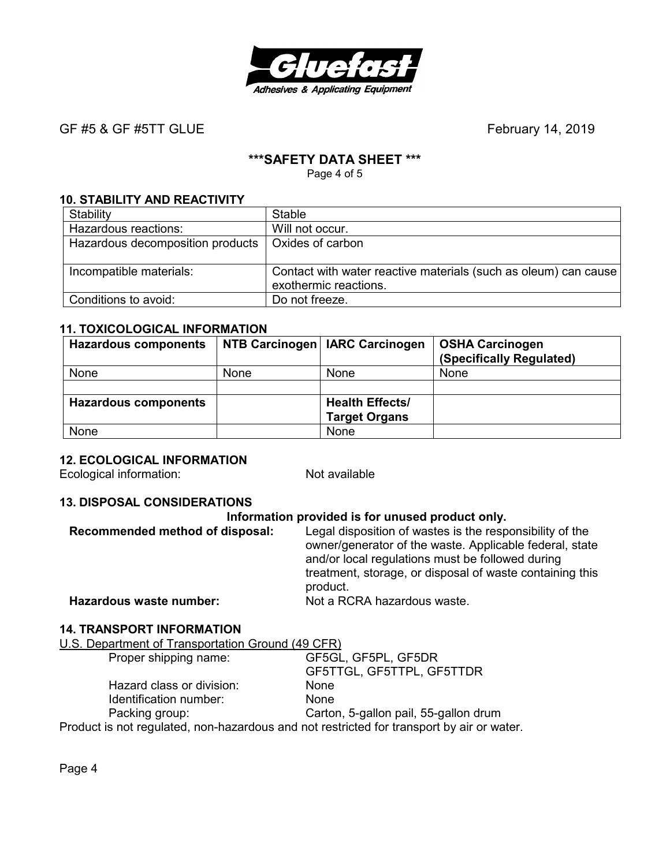

# **\*\*\*SAFETY DATA SHEET \*\*\***

Page 4 of 5

# **10. STABILITY AND REACTIVITY**

| Stability                        | Stable                                                                                   |
|----------------------------------|------------------------------------------------------------------------------------------|
| Hazardous reactions:             | Will not occur.                                                                          |
| Hazardous decomposition products | Oxides of carbon                                                                         |
|                                  |                                                                                          |
| Incompatible materials:          | Contact with water reactive materials (such as oleum) can cause<br>exothermic reactions. |
| Conditions to avoid:             | Do not freeze.                                                                           |

### **11. TOXICOLOGICAL INFORMATION**

| <b>Hazardous components</b> |      | NTB Carcinogen   IARC Carcinogen | <b>OSHA Carcinogen</b><br>(Specifically Regulated) |
|-----------------------------|------|----------------------------------|----------------------------------------------------|
| None                        | None | <b>None</b>                      | None                                               |
|                             |      |                                  |                                                    |
| <b>Hazardous components</b> |      | <b>Health Effects/</b>           |                                                    |
|                             |      | <b>Target Organs</b>             |                                                    |
| None                        |      | None                             |                                                    |

# **12. ECOLOGICAL INFORMATION**

Ecological information: Not available

#### **13. DISPOSAL CONSIDERATIONS**

| Information provided is for unused product only.                                                                                                                                                                                                |  |  |
|-------------------------------------------------------------------------------------------------------------------------------------------------------------------------------------------------------------------------------------------------|--|--|
| Legal disposition of wastes is the responsibility of the<br>owner/generator of the waste. Applicable federal, state<br>and/or local regulations must be followed during<br>treatment, storage, or disposal of waste containing this<br>product. |  |  |
| Not a RCRA hazardous waste.                                                                                                                                                                                                                     |  |  |
|                                                                                                                                                                                                                                                 |  |  |

### **14. TRANSPORT INFORMATION**

U.S. Department of Transportation Ground (49 CFR)

| Proper shipping name:                                                                     | GF5GL, GF5PL, GF5DR                   |
|-------------------------------------------------------------------------------------------|---------------------------------------|
|                                                                                           | GF5TTGL, GF5TTPL, GF5TTDR             |
| Hazard class or division:                                                                 | <b>None</b>                           |
| Identification number:                                                                    | <b>None</b>                           |
| Packing group:                                                                            | Carton, 5-gallon pail, 55-gallon drum |
| Product is not regulated, non-hazardous and not restricted for transport by air or water. |                                       |

Page 4